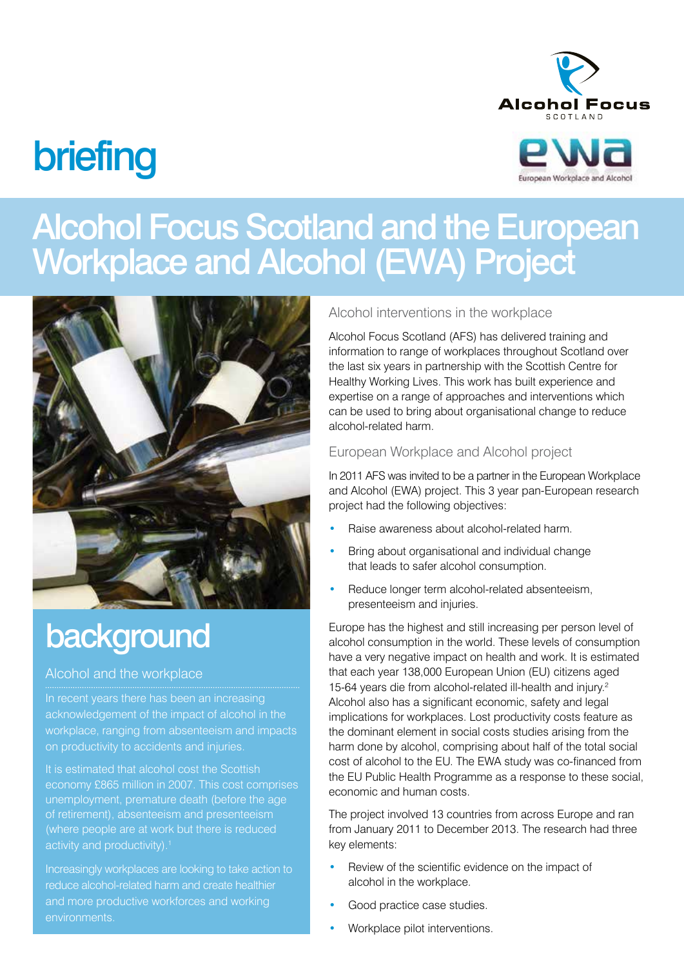# Alcohol Focus

## **briefing**



## Alcohol Focus Scotland and the European Workplace and Alcohol (EWA) Project



## background

#### Alcohol and the workplace

In recent years there has been an increasing acknowledgement of the impact of alcohol in the workplace, ranging from absenteeism and impacts

It is estimated that alcohol cost the Scottish economy £865 million in 2007. This cost comprises unemployment, premature death (before the age (where people are at work but there is reduced

Increasingly workplaces are looking to take action to and more productive workforces and working environments.

#### Alcohol interventions in the workplace

Alcohol Focus Scotland (AFS) has delivered training and information to range of workplaces throughout Scotland over the last six years in partnership with the Scottish Centre for Healthy Working Lives. This work has built experience and expertise on a range of approaches and interventions which can be used to bring about organisational change to reduce alcohol-related harm.

#### European Workplace and Alcohol project

In 2011 AFS was invited to be a partner in the European Workplace and Alcohol (EWA) project. This 3 year pan-European research project had the following objectives:

- Raise awareness about alcohol-related harm.
- Bring about organisational and individual change that leads to safer alcohol consumption.
- Reduce longer term alcohol-related absenteeism, presenteeism and injuries.

Europe has the highest and still increasing per person level of alcohol consumption in the world. These levels of consumption have a very negative impact on health and work. It is estimated that each year 138,000 European Union (EU) citizens aged 15-64 years die from alcohol-related ill-health and injury.2 Alcohol also has a significant economic, safety and legal implications for workplaces. Lost productivity costs feature as the dominant element in social costs studies arising from the harm done by alcohol, comprising about half of the total social cost of alcohol to the EU. The EWA study was co-financed from the EU Public Health Programme as a response to these social, economic and human costs.

The project involved 13 countries from across Europe and ran from January 2011 to December 2013. The research had three key elements:

- Review of the scientific evidence on the impact of alcohol in the workplace.
- Good practice case studies.
- Workplace pilot interventions.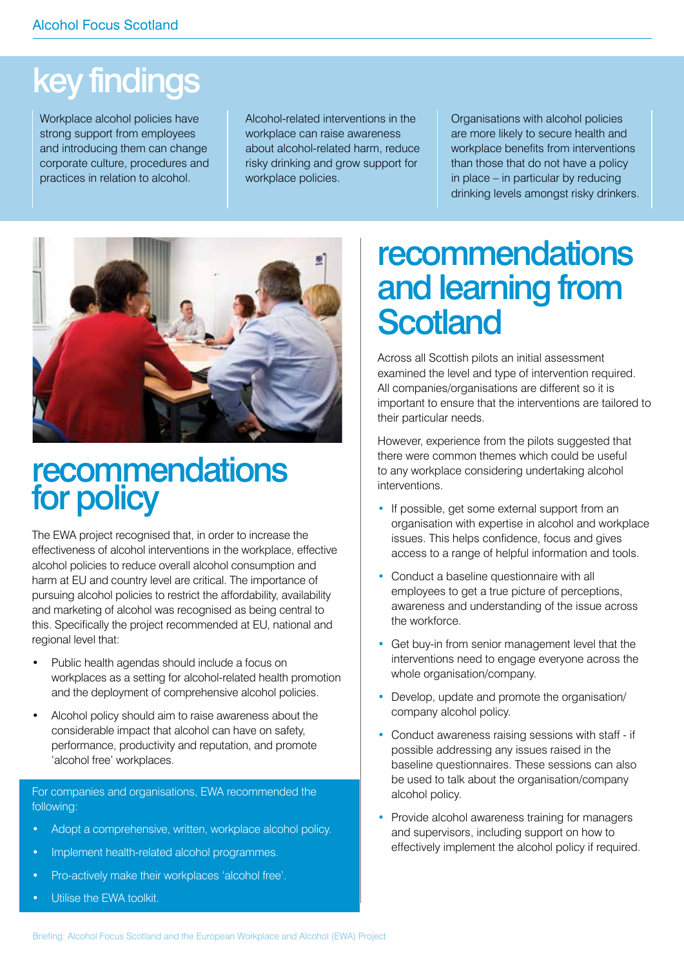## key findings

Workplace alcohol policies have strong support from employees and introducing them can change corporate culture, procedures and practices in relation to alcohol.

Alcohol-related interventions in the workplace can raise awareness about alcohol-related harm, reduce risky drinking and grow support for workplace policies.

Organisations with alcohol policies are more likely to secure health and workplace benefits from interventions than those that do not have a policy in place – in particular by reducing drinking levels amongst risky drinkers.



### recommendations for policy

The EWA project recognised that, in order to increase the effectiveness of alcohol interventions in the workplace, effective alcohol policies to reduce overall alcohol consumption and harm at EU and country level are critical. The importance of pursuing alcohol policies to restrict the affordability, availability and marketing of alcohol was recognised as being central to this. Specifically the project recommended at EU, national and regional level that:

- Public health agendas should include a focus on workplaces as a setting for alcohol-related health promotion and the deployment of comprehensive alcohol policies.
- Alcohol policy should aim to raise awareness about the considerable impact that alcohol can have on safety, performance, productivity and reputation, and promote 'alcohol free' workplaces.

For companies and organisations, EWA recommended the following:

- Adopt a comprehensive, written, workplace alcohol policy.
- Implement health-related alcohol programmes.
- Pro-actively make their workplaces 'alcohol free'.
- Utilise the EWA toolkit.

## recommendations and learning from **Scotland**

Across all Scottish pilots an initial assessment examined the level and type of intervention required. All companies/organisations are different so it is important to ensure that the interventions are tailored to their particular needs.

However, experience from the pilots suggested that there were common themes which could be useful to any workplace considering undertaking alcohol interventions.

- If possible, get some external support from an organisation with expertise in alcohol and workplace issues. This helps confidence, focus and gives access to a range of helpful information and tools.
- Conduct a baseline questionnaire with all employees to get a true picture of perceptions, awareness and understanding of the issue across the workforce.
- Get buy-in from senior management level that the interventions need to engage everyone across the whole organisation/company.
- Develop, update and promote the organisation/ company alcohol policy.
- Conduct awareness raising sessions with staff if possible addressing any issues raised in the baseline questionnaires. These sessions can also be used to talk about the organisation/company alcohol policy.
- Provide alcohol awareness training for managers and supervisors, including support on how to effectively implement the alcohol policy if required.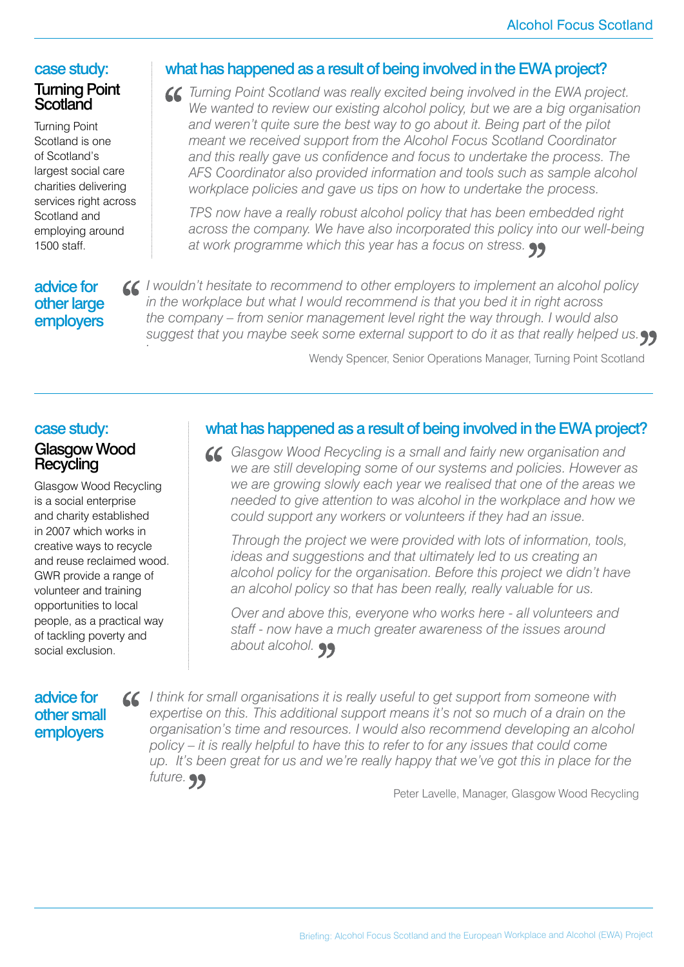#### case study: Turning Point **Scotland**

Turning Point Scotland is one of Scotland's largest social care charities delivering services right across Scotland and employing around 1500 staff.

#### what has happened as a result of being involved in the EWA project?

*Turning Point Scotland was really excited being involved in the EWA project.*  We wanted to review our existing alcohol policy, but we are a big organisation *and weren't quite sure the best way to go about it. Being part of the pilot meant we received support from the Alcohol Focus Scotland Coordinator and this really gave us confidence and focus to undertake the process. The AFS Coordinator also provided information and tools such as sample alcohol workplace policies and gave us tips on how to undertake the process.* 

*TPS now have a really robust alcohol policy that has been embedded right across the company. We have also incorporated this policy into our well-being at work programme which this year has a focus on stress.*

#### advice for other large employers

*I wouldn't hesitate to recommend to other employers to implement an alcohol policy in the workplace but what I would recommend is that you bed it in right across the company – from senior management level right the way through. I would also suggest that you maybe seek some external support to do it as that really helped us. .*

Wendy Spencer, Senior Operations Manager, Turning Point Scotland

#### case study:

#### Glasgow Wood **Recycling**

Glasgow Wood Recycling is a social enterprise and charity established in 2007 which works in creative ways to recycle and reuse reclaimed wood. GWR provide a range of volunteer and training opportunities to local people, as a practical way of tackling poverty and social exclusion.

#### what has happened as a result of being involved in the EWA project?

*Glasgow Wood Recycling is a small and fairly new organisation and we are still developing some of our systems and policies. However as we are growing slowly each year we realised that one of the areas we needed to give attention to was alcohol in the workplace and how we could support any workers or volunteers if they had an issue.* 

*Through the project we were provided with lots of information, tools, ideas and suggestions and that ultimately led to us creating an alcohol policy for the organisation. Before this project we didn't have an alcohol policy so that has been really, really valuable for us.*

*Over and above this, everyone who works here - all volunteers and staff - now have a much greater awareness of the issues around about alcohol.*

#### advice for other small employers

*I think for small organisations it is really useful to get support from someone with expertise on this. This additional support means it's not so much of a drain on the organisation's time and resources. I would also recommend developing an alcohol policy – it is really helpful to have this to refer to for any issues that could come up. It's been great for us and we're really happy that we've got this in place for the future.*

Peter Lavelle, Manager, Glasgow Wood Recycling